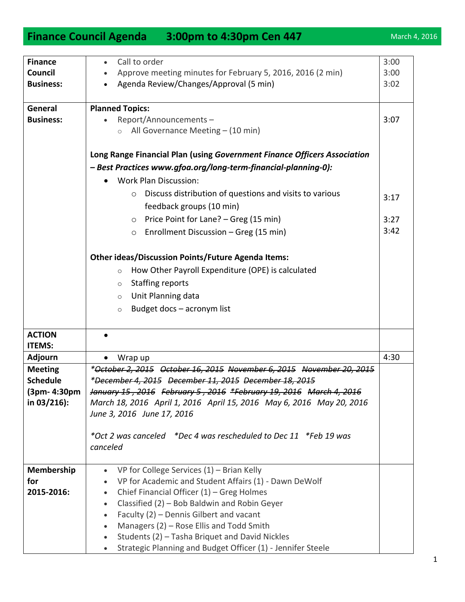## **Finance Council Agenda** 3:00pm to 4:30pm Cen 447 March 4, 2016

| <b>Finance</b>   | Call to order<br>$\bullet$                                               | 3:00 |
|------------------|--------------------------------------------------------------------------|------|
| Council          | Approve meeting minutes for February 5, 2016, 2016 (2 min)               | 3:00 |
| <b>Business:</b> | Agenda Review/Changes/Approval (5 min)                                   | 3:02 |
|                  |                                                                          |      |
| General          | <b>Planned Topics:</b>                                                   |      |
| <b>Business:</b> | Report/Announcements-                                                    | 3:07 |
|                  | All Governance Meeting - (10 min)                                        |      |
|                  |                                                                          |      |
|                  | Long Range Financial Plan (using Government Finance Officers Association |      |
|                  | - Best Practices www.gfoa.org/long-term-financial-planning-0):           |      |
|                  | <b>Work Plan Discussion:</b>                                             |      |
|                  | Discuss distribution of questions and visits to various<br>$\circ$       |      |
|                  | feedback groups (10 min)                                                 | 3:17 |
|                  | Price Point for Lane? - Greg (15 min)<br>$\circ$                         | 3:27 |
|                  |                                                                          | 3:42 |
|                  | Enrollment Discussion - Greg (15 min)<br>$\circ$                         |      |
|                  | <b>Other ideas/Discussion Points/Future Agenda Items:</b>                |      |
|                  |                                                                          |      |
|                  | How Other Payroll Expenditure (OPE) is calculated<br>$\circ$             |      |
|                  | <b>Staffing reports</b><br>$\circ$                                       |      |
|                  | Unit Planning data<br>$\circ$                                            |      |
|                  | Budget docs - acronym list<br>$\circ$                                    |      |
|                  |                                                                          |      |
| <b>ACTION</b>    |                                                                          |      |
| <b>ITEMS:</b>    |                                                                          |      |
| <b>Adjourn</b>   | Wrap up<br>$\bullet$                                                     | 4:30 |
| <b>Meeting</b>   | *October 2, 2015 October 16, 2015 November 6, 2015 November 20, 2015     |      |
| <b>Schedule</b>  | *December 4, 2015 December 11, 2015 December 18, 2015                    |      |
| (3pm- 4:30pm     | January 15, 2016 February 5, 2016 *February 19, 2016 March 4, 2016       |      |
| in $03/216$ :    | March 18, 2016 April 1, 2016 April 15, 2016 May 6, 2016 May 20, 2016     |      |
|                  | June 3, 2016 June 17, 2016                                               |      |
|                  |                                                                          |      |
|                  |                                                                          |      |
|                  | canceled                                                                 |      |
| Membership       | VP for College Services $(1)$ – Brian Kelly<br>$\bullet$                 |      |
| for              | VP for Academic and Student Affairs (1) - Dawn DeWolf                    |      |
| 2015-2016:       | Chief Financial Officer (1) - Greg Holmes<br>$\bullet$                   |      |
|                  | Classified (2) - Bob Baldwin and Robin Geyer<br>$\bullet$                |      |
|                  | Faculty (2) - Dennis Gilbert and vacant<br>$\bullet$                     |      |
|                  | Managers (2) - Rose Ellis and Todd Smith<br>$\bullet$                    |      |
|                  | Students (2) - Tasha Briquet and David Nickles                           |      |
|                  | Strategic Planning and Budget Officer (1) - Jennifer Steele              |      |
|                  |                                                                          |      |